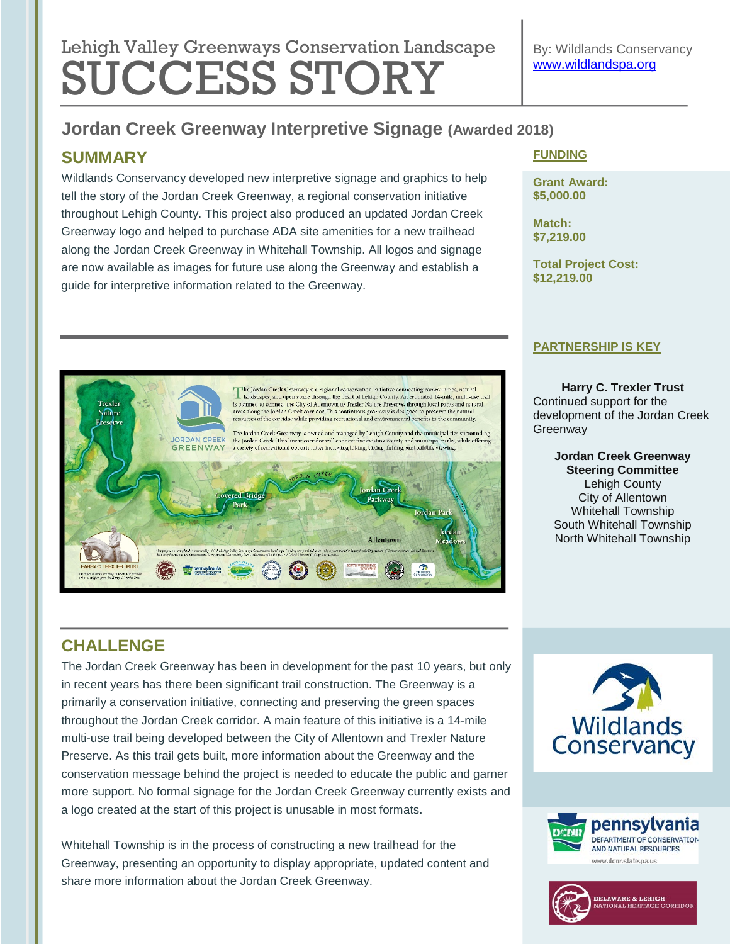# Lehigh Valley Greenways Conservation Landscape SUCCESS STORY

# **Jordan Creek Greenway Interpretive Signage (Awarded 2018)**

# **SUMMARY**

Wildlands Conservancy developed new interpretive signage and graphics to help tell the story of the Jordan Creek Greenway, a regional conservation initiative throughout Lehigh County. This project also produced an updated Jordan Creek Greenway logo and helped to purchase ADA site amenities for a new trailhead along the Jordan Creek Greenway in Whitehall Township. All logos and signage are now available as images for future use along the Greenway and establish a guide for interpretive information related to the Greenway.

### **FUNDING**

**Grant Award: \$5,000.00**

**Match: \$7,219.00**

**Total Project Cost: \$12,219.00**

#### **PARTNERSHIP IS KEY**

**Harry C. Trexler Trust** Continued support for the development of the Jordan Creek **Greenway** 

> **Jordan Creek Greenway Steering Committee** Lehigh County City of Allentown Whitehall Township South Whitehall Township North Whitehall Township

# dan Creek Parkway ordan Parl Allentown O

 $\begin{tabular}{l} \textbf{The Jordan Creek Greenway is a regional conservation initiative connecting communities, natural landscapes, and open space through the heart of Lehigh County. An estimated 14-mile, multi-use trail is planned to connect the City of Allentown to Freaker Nature Preserve, through local parts and natural areas along the Jordan Creck correlation. This continuous greenway is designed to preserve the natural resources of the corridor while providing recreational and environmental benefits to the community. \end{tabular}$ 

The Jordan Creek Greenway is owned and managed by Lehigh County and the municipalities surrounding the Jordan Creek. This linear corridor will connect five existing county and municipal parks, while offering a variety of

# **CHALLENGE**

Trexler Nature Preserve

> **IORDAN CREEK GREENWAY**

The Jordan Creek Greenway has been in development for the past 10 years, but only in recent years has there been significant trail construction. The Greenway is a primarily a conservation initiative, connecting and preserving the green spaces throughout the Jordan Creek corridor. A main feature of this initiative is a 14-mile multi-use trail being developed between the City of Allentown and Trexler Nature Preserve. As this trail gets built, more information about the Greenway and the conservation message behind the project is needed to educate the public and garner more support. No formal signage for the Jordan Creek Greenway currently exists and a logo created at the start of this project is unusable in most formats.

Whitehall Township is in the process of constructing a new trailhead for the Greenway, presenting an opportunity to display appropriate, updated content and share more information about the Jordan Creek Greenway.